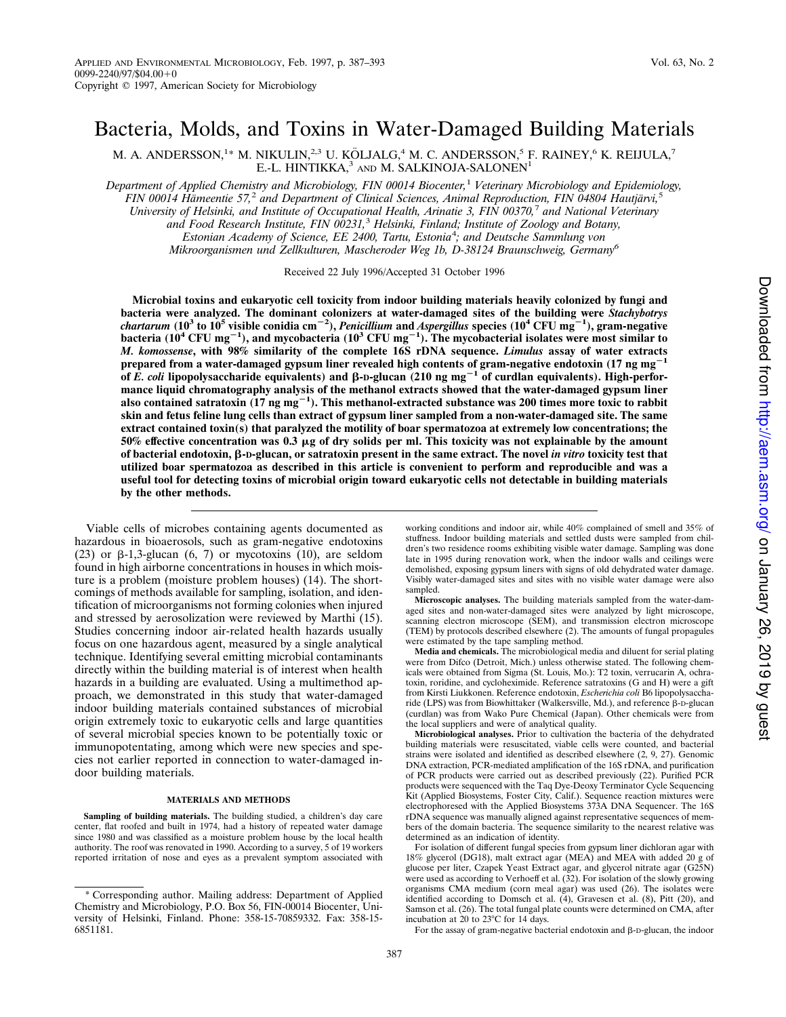# Bacteria, Molds, and Toxins in Water-Damaged Building Materials

M. A. ANDERSSON, $^{1*}$  M. NIKULIN, $^{2,3}$  U. KÖLJALG, $^{4}$  M. C. ANDERSSON, $^{5}$  F. RAINEY, $^{6}$  K. REIJULA, $^{7}$ E.-L. HINTIKKA,<sup>3</sup> and M. SALKINOJA-SALONEN<sup>1</sup>

*Department of Applied Chemistry and Microbiology, FIN 00014 Biocenter,*<sup>1</sup> *Veterinary Microbiology and Epidemiology, FIN 00014 Ha¨meentie 57,*<sup>2</sup> *and Department of Clinical Sciences, Animal Reproduction, FIN 04804 Hautja¨rvi,*<sup>5</sup> *University of Helsinki, and Institute of Occupational Health, Arinatie 3, FIN 00370,*<sup>7</sup> *and National Veterinary and Food Research Institute, FIN 00231,*<sup>3</sup> *Helsinki, Finland; Institute of Zoology and Botany, Estonian Academy of Science, EE 2400, Tartu, Estonia*<sup>4</sup> *; and Deutsche Sammlung von Mikroorganismen und Zellkulturen, Mascheroder Weg 1b, D-38124 Braunschweig, Germany<sup>6</sup>*

Received 22 July 1996/Accepted 31 October 1996

**Microbial toxins and eukaryotic cell toxicity from indoor building materials heavily colonized by fungi and bacteria were analyzed. The dominant colonizers at water-damaged sites of the building were** *Stachybotrys chartarum* **(10<sup>3</sup> to 10<sup>5</sup> visible conidia cm**2**<sup>2</sup> ),** *Penicillium* **and** *Aspergillus* **species (10<sup>4</sup> CFU mg**2**<sup>1</sup> ), gram-negative** bacteria (10<sup>4</sup> CFU mg<sup>-1</sup>), and mycobacteria (10<sup>3</sup> CFU mg<sup>-1</sup>). The mycobacterial isolates were most similar to *M. komossense***, with 98% similarity of the complete 16S rDNA sequence.** *Limulus* **assay of water extracts prepared from a water-damaged gypsum liner revealed high contents of gram-negative endotoxin (17 ng mg<sup>-1</sup> of** *E. coli* lipopolysaccharide equivalents) and β-D-glucan (210 ng mg<sup>-1</sup> of curdlan equivalents). High-perfor**mance liquid chromatography analysis of the methanol extracts showed that the water-damaged gypsum liner** also contained satratoxin (17 ng mg<sup>-1</sup>). This methanol-extracted substance was 200 times more toxic to rabbit **skin and fetus feline lung cells than extract of gypsum liner sampled from a non-water-damaged site. The same extract contained toxin(s) that paralyzed the motility of boar spermatozoa at extremely low concentrations; the 50% effective concentration was 0.3** m**g of dry solids per ml. This toxicity was not explainable by the amount of bacterial endotoxin,** b**-D-glucan, or satratoxin present in the same extract. The novel** *in vitro* **toxicity test that utilized boar spermatozoa as described in this article is convenient to perform and reproducible and was a useful tool for detecting toxins of microbial origin toward eukaryotic cells not detectable in building materials by the other methods.**

Viable cells of microbes containing agents documented as hazardous in bioaerosols, such as gram-negative endotoxins (23) or  $\beta$ -1,3-glucan (6, 7) or mycotoxins (10), are seldom found in high airborne concentrations in houses in which moisture is a problem (moisture problem houses) (14). The shortcomings of methods available for sampling, isolation, and identification of microorganisms not forming colonies when injured and stressed by aerosolization were reviewed by Marthi (15). Studies concerning indoor air-related health hazards usually focus on one hazardous agent, measured by a single analytical technique. Identifying several emitting microbial contaminants directly within the building material is of interest when health hazards in a building are evaluated. Using a multimethod approach, we demonstrated in this study that water-damaged indoor building materials contained substances of microbial origin extremely toxic to eukaryotic cells and large quantities of several microbial species known to be potentially toxic or immunopotentating, among which were new species and species not earlier reported in connection to water-damaged indoor building materials.

### **MATERIALS AND METHODS**

**Sampling of building materials.** The building studied, a children's day care center, flat roofed and built in 1974, had a history of repeated water damage since 1980 and was classified as a moisture problem house by the local health authority. The roof was renovated in 1990. According to a survey, 5 of 19 workers reported irritation of nose and eyes as a prevalent symptom associated with working conditions and indoor air, while 40% complained of smell and 35% of stuffness. Indoor building materials and settled dusts were sampled from children's two residence rooms exhibiting visible water damage. Sampling was done late in 1995 during renovation work, when the indoor walls and ceilings were demolished, exposing gypsum liners with signs of old dehydrated water damage. Visibly water-damaged sites and sites with no visible water damage were also sampled.

**Microscopic analyses.** The building materials sampled from the water-damaged sites and non-water-damaged sites were analyzed by light microscope, scanning electron microscope (SEM), and transmission electron microscope (TEM) by protocols described elsewhere (2). The amounts of fungal propagules were estimated by the tape sampling method.

**Media and chemicals.** The microbiological media and diluent for serial plating were from Difco (Detroit, Mich.) unless otherwise stated. The following chemicals were obtained from Sigma (St. Louis, Mo.): T2 toxin, verrucarin A, ochratoxin, roridine, and cycloheximide. Reference satratoxins (G and H) were a gift from Kirsti Liukkonen. Reference endotoxin, *Escherichia coli* B6 lipopolysaccharide (LPS) was from Biowhittaker (Walkersville, Md.), and reference  $\beta$ -D-glucan (curdlan) was from Wako Pure Chemical (Japan). Other chemicals were from the local suppliers and were of analytical quality.

**Microbiological analyses.** Prior to cultivation the bacteria of the dehydrated building materials were resuscitated, viable cells were counted, and bacterial strains were isolated and identified as described elsewhere (2, 9, 27). Genomic DNA extraction, PCR-mediated amplification of the 16S rDNA, and purification of PCR products were carried out as described previously (22). Purified PCR products were sequenced with the Taq Dye-Deoxy Terminator Cycle Sequencing Kit (Applied Biosystems, Foster City, Calif.). Sequence reaction mixtures were electrophoresed with the Applied Biosystems 373A DNA Sequencer. The 16S rDNA sequence was manually aligned against representative sequences of members of the domain bacteria. The sequence similarity to the nearest relative was determined as an indication of identity.

For isolation of different fungal species from gypsum liner dichloran agar with 18% glycerol (DG18), malt extract agar (MEA) and MEA with added 20 g of glucose per liter, Czapek Yeast Extract agar, and glycerol nitrate agar (G25N) were used as according to Verhoeff et al.  $(32)$ . For isolation of the slowly growing organisms CMA medium (corn meal agar) was used (26). The isolates were identified according to Domsch et al. (4), Gravesen et al. (8), Pitt (20), and Samson et al. (26). The total fungal plate counts were determined on CMA, after incubation at  $20$  to 23°C for 14 days.

For the assay of gram-negative bacterial endotoxin and  $\beta$ -D-glucan, the indoor

<sup>\*</sup> Corresponding author. Mailing address: Department of Applied Chemistry and Microbiology, P.O. Box 56, FIN-00014 Biocenter, University of Helsinki, Finland. Phone: 358-15-70859332. Fax: 358-15- 6851181.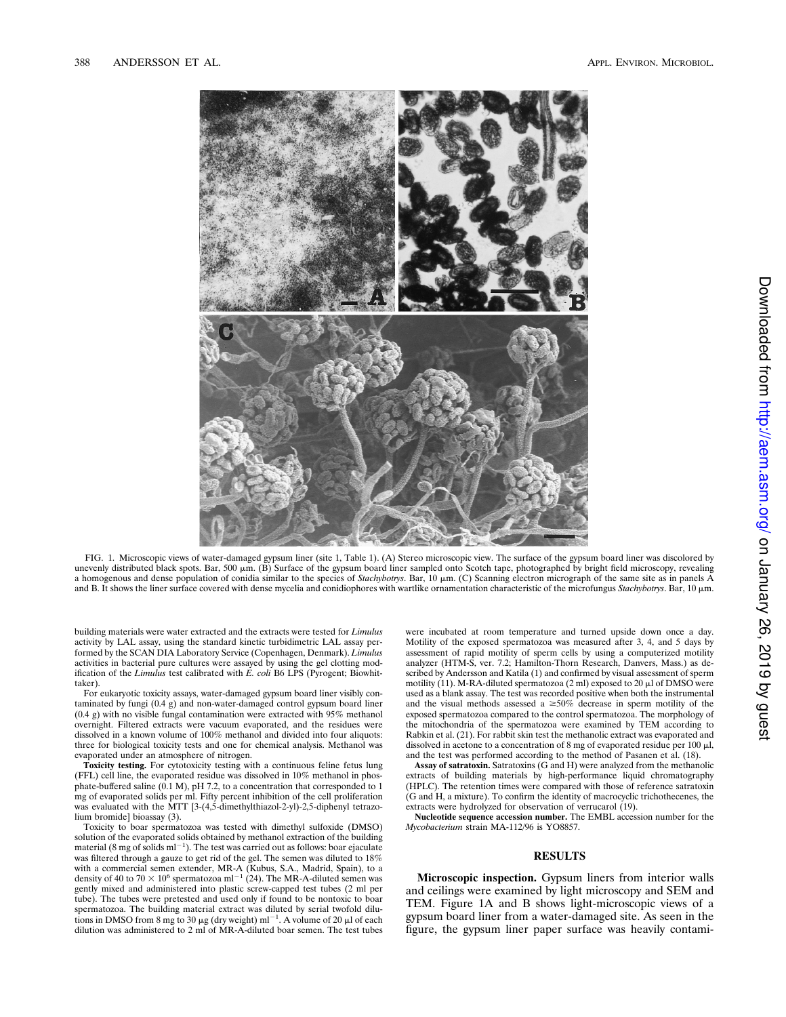

FIG. 1. Microscopic views of water-damaged gypsum liner (site 1, Table 1). (A) Stereo microscopic view. The surface of the gypsum board liner was discolored by unevenly distributed black spots. Bar, 500  $\mu$ m. (B) Surface of the gypsum board liner sampled onto Scotch tape, photographed by bright field microscopy, revealing a homogenous and dense population of conidia similar to the species of *Stachybotrys*. Bar, 10 mm. (C) Scanning electron micrograph of the same site as in panels A and B. It shows the liner surface covered with dense mycelia and conidiophores with wartlike ornamentation characteristic of the microfungus *Stachybotrys*. Bar, 10 µm.

building materials were water extracted and the extracts were tested for *Limulus* activity by LAL assay, using the standard kinetic turbidimetric LAL assay performed by the SCAN DIA Laboratory Service (Copenhagen, Denmark). *Limulus* activities in bacterial pure cultures were assayed by using the gel clotting modification of the *Limulus* test calibrated with *E. coli* B6 LPS (Pyrogent; Biowhittaker).

For eukaryotic toxicity assays, water-damaged gypsum board liner visibly contaminated by fungi (0.4 g) and non-water-damaged control gypsum board liner (0.4 g) with no visible fungal contamination were extracted with 95% methanol overnight. Filtered extracts were vacuum evaporated, and the residues were dissolved in a known volume of 100% methanol and divided into four aliquots: three for biological toxicity tests and one for chemical analysis. Methanol was evaporated under an atmosphere of nitrogen.

**Toxicity testing.** For cytotoxicity testing with a continuous feline fetus lung (FFL) cell line, the evaporated residue was dissolved in 10% methanol in phosphate-buffered saline  $(0.1 \text{ M})$ , pH 7.2, to a concentration that corresponded to 1 mg of evaporated solids per ml. Fifty percent inhibition of the cell proliferation was evaluated with the MTT [3-(4,5-dimethylthiazol-2-yl)-2,5-diphenyl tetrazolium bromide] bioassay (3).

Toxicity to boar spermatozoa was tested with dimethyl sulfoxide (DMSO) solution of the evaporated solids obtained by methanol extraction of the building material (8 mg of solids  $ml^{-1}$ ). The test was carried out as follows: boar ejaculate was filtered through a gauze to get rid of the gel. The semen was diluted to  $18\%$ with a commercial semen extender, MR-A (Kubus, S.A., Madrid, Spain), to a density of 40 to 70  $\times$  10<sup>6</sup> spermatozoa ml<sup>-1</sup> (24). The MR-A-diluted semen was gently mixed and administered into plastic screw-capped test tubes (2 ml per tube). The tubes were pretested and used only if found to be nontoxic to boar spermatozoa. The building material extract was diluted by serial twofold dilutions in DMSO from 8 mg to 30  $\mu$ g (dry weight) ml<sup>-1</sup>. A volume of 20  $\mu$ l of each dilution was administered to 2 ml of MR-A-diluted boar semen. The test tubes were incubated at room temperature and turned upside down once a day. Motility of the exposed spermatozoa was measured after 3, 4, and 5 days by assessment of rapid motility of sperm cells by using a computerized motility analyzer (HTM-S, ver. 7.2; Hamilton-Thorn Research, Danvers, Mass.) as described by Andersson and Katila (1) and confirmed by visual assessment of sperm motility (11). M-RA-diluted spermatozoa (2 ml) exposed to 20  $\mu$ l of DMSO were used as a blank assay. The test was recorded positive when both the instrumental and the visual methods assessed a  $\geq 50\%$  decrease in sperm motility of the exposed spermatozoa compared to the control spermatozoa. The morphology of the mitochondria of the spermatozoa were examined by TEM according to Rabkin et al. (21). For rabbit skin test the methanolic extract was evaporated and dissolved in acetone to a concentration of 8 mg of evaporated residue per 100  $\mu$ l, and the test was performed according to the method of Pasanen et al. (18).

**Assay of satratoxin.** Satratoxins (G and H) were analyzed from the methanolic extracts of building materials by high-performance liquid chromatography (HPLC). The retention times were compared with those of reference satratoxin  $(G$  and  $H$ , a mixture). To confirm the identity of macrocyclic trichothecenes, the extracts were hydrolyzed for observation of verrucarol (19).

**Nucleotide sequence accession number.** The EMBL accession number for the *Mycobacterium* strain MA-112/96 is YO8857.

# **RESULTS**

**Microscopic inspection.** Gypsum liners from interior walls and ceilings were examined by light microscopy and SEM and TEM. Figure 1A and B shows light-microscopic views of a gypsum board liner from a water-damaged site. As seen in the figure, the gypsum liner paper surface was heavily contami-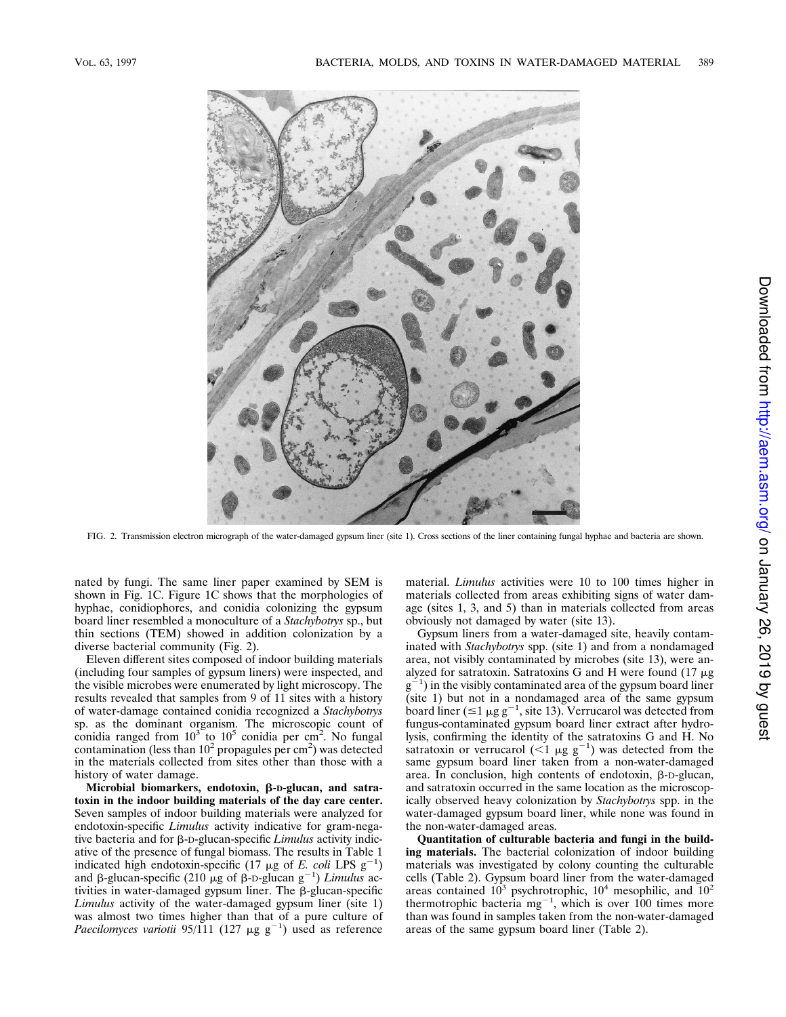

FIG. 2. Transmission electron micrograph of the water-damaged gypsum liner (site 1). Cross sections of the liner containing fungal hyphae and bacteria are shown.

nated by fungi. The same liner paper examined by SEM is shown in Fig. 1C. Figure 1C shows that the morphologies of hyphae, conidiophores, and conidia colonizing the gypsum board liner resembled a monoculture of a *Stachybotrys* sp., but thin sections (TEM) showed in addition colonization by a diverse bacterial community (Fig. 2).

Eleven different sites composed of indoor building materials (including four samples of gypsum liners) were inspected, and the visible microbes were enumerated by light microscopy. The results revealed that samples from 9 of 11 sites with a history of water-damage contained conidia recognized a *Stachybotrys* sp. as the dominant organism. The microscopic count of conidia ranged from  $10^3$  to  $10^5$  conidia per cm<sup>2</sup>. No fungal contamination (less than  $10^2$  propagules per cm<sup>2</sup>) was detected in the materials collected from sites other than those with a history of water damage.

Microbial biomarkers, endotoxin, β-D-glucan, and satra**toxin in the indoor building materials of the day care center.** Seven samples of indoor building materials were analyzed for endotoxin-specific *Limulus* activity indicative for gram-negative bacteria and for β-D-glucan-specific *Limulus* activity indicative of the presence of fungal biomass. The results in Table 1 indicated high endotoxin-specific (17  $\mu$ g of *E. coli* LPS g<sup>-1</sup>) and  $\beta$ -glucan-specific (210  $\mu$ g of  $\beta$ -D-glucan  $g^{-1}$ ) *Limulus* activities in water-damaged gypsum liner. The  $\beta$ -glucan-specific *Limulus* activity of the water-damaged gypsum liner (site 1) was almost two times higher than that of a pure culture of Paecilomyces variotii 95/111 (127  $\mu$ g g<sup>-1</sup>) used as reference

material. *Limulus* activities were 10 to 100 times higher in materials collected from areas exhibiting signs of water damage (sites 1, 3, and 5) than in materials collected from areas obviously not damaged by water (site 13).

Gypsum liners from a water-damaged site, heavily contaminated with *Stachybotrys* spp. (site 1) and from a nondamaged area, not visibly contaminated by microbes (site 13), were analyzed for satratoxin. Satratoxins G and H were found  $(17 \mu g)$  $g^{-1}$ ) in the visibly contaminated area of the gypsum board liner (site 1) but not in a nondamaged area of the same gypsum board liner ( $\leq 1 \mu$ g g<sup>-1</sup>, site 13). Verrucarol was detected from fungus-contaminated gypsum board liner extract after hydrolysis, confirming the identity of the satratoxins G and H. No satratoxin or verrucarol ( $\leq 1$   $\mu$ g g<sup>-1</sup>) was detected from the same gypsum board liner taken from a non-water-damaged area. In conclusion, high contents of endotoxin,  $\beta$ -D-glucan, and satratoxin occurred in the same location as the microscopically observed heavy colonization by *Stachybotrys* spp. in the water-damaged gypsum board liner, while none was found in the non-water-damaged areas.

**Quantitation of culturable bacteria and fungi in the building materials.** The bacterial colonization of indoor building materials was investigated by colony counting the culturable cells (Table 2). Gypsum board liner from the water-damaged areas contained  $10^3$  psychrotrophic,  $10^4$  mesophilic, and  $10^2$ thermotrophic bacteria  $mg^{-1}$ , which is over 100 times more than was found in samples taken from the non-water-damaged areas of the same gypsum board liner (Table 2).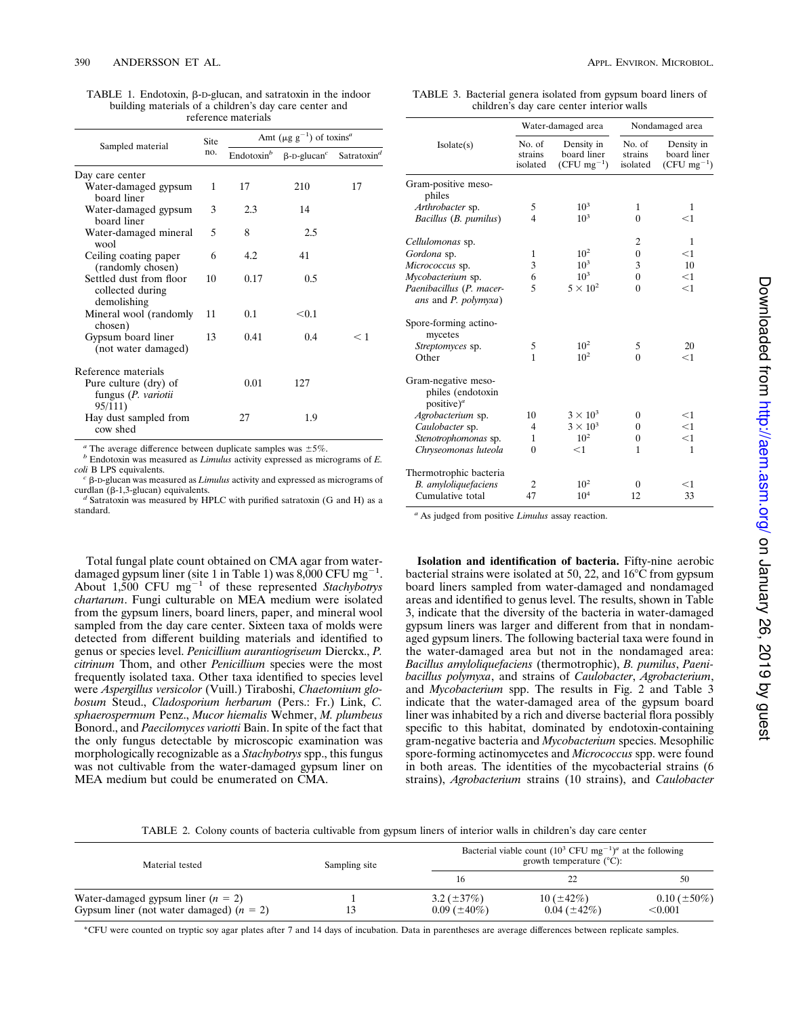TABLE 1. Endotoxin,  $\beta$ -D-glucan, and satratoxin in the indoor building materials of a children's day care center and reference materials

| Sampled material                                           | Site<br>no. | Amt ( $\mu$ g g <sup>-1</sup> ) of toxins <sup><i>a</i></sup> |                                |                         |
|------------------------------------------------------------|-------------|---------------------------------------------------------------|--------------------------------|-------------------------|
|                                                            |             | Endotoxin <sup>b</sup>                                        | $\beta$ -D-glucan <sup>c</sup> | Satratoxin <sup>d</sup> |
| Day care center                                            |             |                                                               |                                |                         |
| Water-damaged gypsum<br>board liner                        | 1           | 17                                                            | 210                            | 17                      |
| Water-damaged gypsum<br>board liner                        | 3           | 2.3                                                           | 14                             |                         |
| Water-damaged mineral<br>wool                              | 5           | 8                                                             | 2.5                            |                         |
| Ceiling coating paper<br>(randomly chosen)                 | 6           | 4.2                                                           | 41                             |                         |
| Settled dust from floor<br>collected during<br>demolishing | 10          | 0.17                                                          | 0.5                            |                         |
| Mineral wool (randomly<br>chosen)                          | 11          | 0.1                                                           | < 0.1                          |                         |
| Gypsum board liner<br>(not water damaged)                  | 13          | 0.41                                                          | 0.4                            | $<$ 1                   |
| Reference materials                                        |             |                                                               |                                |                         |
| Pure culture (dry) of<br>fungus (P. variotii<br>95/111)    |             | 0.01                                                          | 127                            |                         |
| Hay dust sampled from<br>cow shed                          |             | 27                                                            | 1.9                            |                         |

<sup>*a*</sup> The average difference between duplicate samples was  $\pm$  5%.

*<sup>b</sup>* Endotoxin was measured as *Limulus* activity expressed as micrograms of *E. coli* B LPS equivalents.

 $c$   $\beta$ -D-glucan was measured as *Limulus* activity and expressed as micrograms of curdlan ( $\beta$ -1,3-glucan) equivalents.

*d* Satratoxin was measured by HPLC with purified satratoxin (G and H) as a standard.

Total fungal plate count obtained on CMA agar from waterdamaged gypsum liner (site 1 in Table 1) was  $8,000$  CFU mg<sup>-1</sup>. About  $1,500$  CFU mg<sup>-1</sup> of these represented *Stachybotrys chartarum*. Fungi culturable on MEA medium were isolated from the gypsum liners, board liners, paper, and mineral wool sampled from the day care center. Sixteen taxa of molds were detected from different building materials and identified to genus or species level. *Penicillium aurantiogriseum* Dierckx., *P. citrinum* Thom, and other *Penicillium* species were the most frequently isolated taxa. Other taxa identified to species level were *Aspergillus versicolor* (Vuill.) Tiraboshi, *Chaetomium globosum* Steud., *Cladosporium herbarum* (Pers.: Fr.) Link, *C. sphaerospermum* Penz., *Mucor hiemalis* Wehmer, *M. plumbeus* Bonord., and *Paecilomyces variotti* Bain. In spite of the fact that the only fungus detectable by microscopic examination was morphologically recognizable as a *Stachybotrys* spp., this fungus was not cultivable from the water-damaged gypsum liner on MEA medium but could be enumerated on CMA.

TABLE 3. Bacterial genera isolated from gypsum board liners of children's day care center interior walls

|                                                                    | Water-damaged area            |                                                 | Nondamaged area               |                                                 |
|--------------------------------------------------------------------|-------------------------------|-------------------------------------------------|-------------------------------|-------------------------------------------------|
| Isolate(s)                                                         | No. of<br>strains<br>isolated | Density in<br>board liner<br>$(CFU \, mg^{-1})$ | No. of<br>strains<br>isolated | Density in<br>board liner<br>$(CFU \, mg^{-1})$ |
| Gram-positive meso-<br>philes                                      |                               |                                                 |                               |                                                 |
| Arthrobacter sp.                                                   | 5                             | $10^{3}$                                        | $\mathbf{1}$                  | 1                                               |
| Bacillus (B. pumilus)                                              | 4                             | $10^{3}$                                        | $\theta$                      | $<$ 1                                           |
| Cellulomonas sp.                                                   |                               |                                                 | 2                             | $\mathbf{1}$                                    |
| Gordona sp.                                                        | 1                             | $10^2$                                          | $\boldsymbol{0}$              | $<$ 1                                           |
| Micrococcus sp.                                                    | 3                             | $10^{3}$                                        | 3                             | 10                                              |
| Mycobacterium sp.                                                  | 6                             | $10^3$                                          | $\theta$                      | $<$ 1                                           |
| Paenibacillus (P. macer-<br>ans and P. polymyxa)                   | 5                             | $5 \times 10^2$                                 | $\theta$                      | $<$ 1                                           |
| Spore-forming actino-<br>mycetes                                   |                               |                                                 |                               |                                                 |
| Streptomyces sp.                                                   | 5                             | $10^2$                                          | 5                             | 20                                              |
| Other                                                              | 1                             | 10 <sup>2</sup>                                 | $\Omega$                      | $<$ 1                                           |
| Gram-negative meso-<br>philes (endotoxin<br>positive) <sup>a</sup> |                               |                                                 |                               |                                                 |
| Agrobacterium sp.                                                  | 10                            | $3 \times 10^3$                                 | $\boldsymbol{0}$              | $<$ 1                                           |
| Caulobacter sp.                                                    | 4                             | $3 \times 10^3$                                 | $\Omega$                      | <1                                              |
| Stenotrophomonas sp.                                               | 1                             | $10^{2}$                                        | $\overline{0}$                | $<$ 1                                           |
| Chryseomonas luteola                                               | $\theta$                      | $<$ 1                                           | 1                             | 1                                               |
| Thermotrophic bacteria                                             |                               |                                                 |                               |                                                 |
| B. amyloliquefaciens                                               | 2                             | 10 <sup>2</sup>                                 | $\theta$                      | $<$ 1                                           |
| Cumulative total                                                   | 47                            | $10^{4}$                                        | 12                            | 33                                              |

*<sup>a</sup>* As judged from positive *Limulus* assay reaction.

**Isolation and identification of bacteria.** Fifty-nine aerobic bacterial strains were isolated at 50, 22, and  $16^{\circ}$ C from gypsum board liners sampled from water-damaged and nondamaged areas and identified to genus level. The results, shown in Table 3, indicate that the diversity of the bacteria in water-damaged gypsum liners was larger and different from that in nondamaged gypsum liners. The following bacterial taxa were found in the water-damaged area but not in the nondamaged area: *Bacillus amyloliquefaciens* (thermotrophic), *B. pumilus*, *Paenibacillus polymyxa*, and strains of *Caulobacter*, *Agrobacterium*, and *Mycobacterium* spp. The results in Fig. 2 and Table 3 indicate that the water-damaged area of the gypsum board liner was inhabited by a rich and diverse bacterial flora possibly specific to this habitat, dominated by endotoxin-containing gram-negative bacteria and *Mycobacterium* species. Mesophilic spore-forming actinomycetes and *Micrococcus* spp. were found in both areas. The identities of the mycobacterial strains (6 strains), *Agrobacterium* strains (10 strains), and *Caulobacter*

TABLE 2. Colony counts of bacteria cultivable from gypsum liners of interior walls in children's day care center

| Material tested                            | Sampling site | Bacterial viable count $(10^3 \text{ CFU mg}^{-1})^a$ at the following<br>growth temperature $(^{\circ}C)$ : |                   |                   |
|--------------------------------------------|---------------|--------------------------------------------------------------------------------------------------------------|-------------------|-------------------|
|                                            |               |                                                                                                              |                   |                   |
| Water-damaged gypsum liner $(n = 2)$       |               | $3.2 (\pm 37\%)$                                                                                             | 10 $(\pm 42\%)$   | $0.10 (\pm 50\%)$ |
| Gypsum liner (not water damaged) $(n = 2)$ | 13            | $0.09~(\pm 40\%)$                                                                                            | $0.04~(\pm 42\%)$ | < 0.001           |

\*CFU were counted on tryptic soy agar plates after 7 and 14 days of incubation. Data in parentheses are average differences between replicate samples.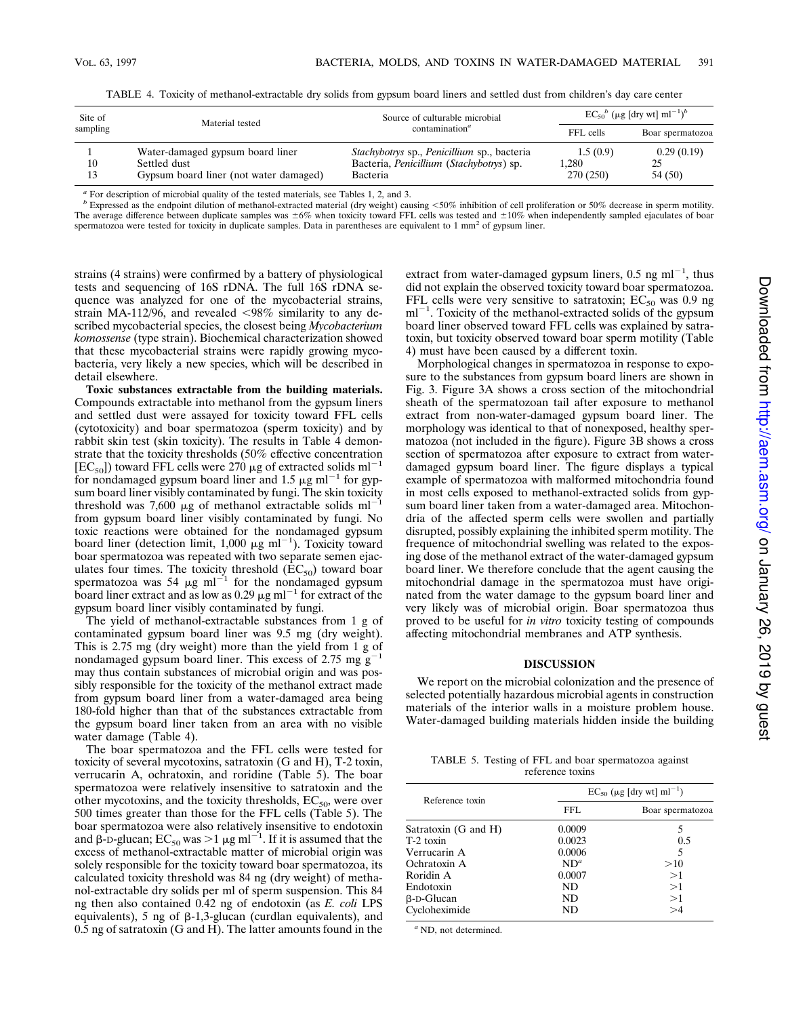TABLE 4. Toxicity of methanol-extractable dry solids from gypsum board liners and settled dust from children's day care center

| Site of<br>Material tested<br>sampling |                                        | Source of culturable microbial              | $EC_{50}{}^b$ (µg [dry wt] ml <sup>-1</sup> ) <sup>b</sup> |                  |
|----------------------------------------|----------------------------------------|---------------------------------------------|------------------------------------------------------------|------------------|
|                                        |                                        | contamination <sup>a</sup>                  | FFL cells                                                  | Boar spermatozoa |
|                                        | Water-damaged gypsum board liner       | Stachybotrys sp., Penicillium sp., bacteria | 1.5(0.9)                                                   | 0.29(0.19)       |
| 10                                     | Settled dust                           | Bacteria, Penicillium (Stachybotrys) sp.    | 1.280                                                      | 25               |
| 13                                     | Gypsum board liner (not water damaged) | Bacteria                                    | 270 (250)                                                  | 54 (50)          |

*<sup>a</sup>* For description of microbial quality of the tested materials, see Tables 1, 2, and 3.

*b* Expressed as the endpoint dilution of methanol-extracted material (dry weight) causing <50% inhibition of cell proliferation or 50% decrease in sperm motility. The average difference between duplicate samples was  $\pm 6\%$  when toxicity toward FFL cells was tested and  $\pm 10\%$  when independently sampled ejaculates of boar spermatozoa were tested for toxicity in duplicate samples. Data in parentheses are equivalent to  $1 \text{ mm}^2$  of gypsum liner.

strains (4 strains) were confirmed by a battery of physiological tests and sequencing of 16S rDNA. The full 16S rDNA sequence was analyzed for one of the mycobacterial strains, strain MA-112/96, and revealed  $\langle 98\% \rangle$  similarity to any described mycobacterial species, the closest being *Mycobacterium komossense* (type strain). Biochemical characterization showed that these mycobacterial strains were rapidly growing mycobacteria, very likely a new species, which will be described in detail elsewhere.

**Toxic substances extractable from the building materials.** Compounds extractable into methanol from the gypsum liners and settled dust were assayed for toxicity toward FFL cells (cytotoxicity) and boar spermatozoa (sperm toxicity) and by rabbit skin test (skin toxicity). The results in Table 4 demonstrate that the toxicity thresholds (50% effective concentration  $[EC_{50}]$ ) toward FFL cells were 270 µg of extracted solids ml<sup>-1</sup> for nondamaged gypsum board liner and 1.5  $\mu$ g ml<sup>-1</sup> for gypsum board liner visibly contaminated by fungi. The skin toxicity threshold was 7,600  $\mu$ g of methanol extractable solids ml<sup>-1</sup> from gypsum board liner visibly contaminated by fungi. No toxic reactions were obtained for the nondamaged gypsum board liner (detection limit, 1,000  $\mu$ g ml<sup>-1</sup>). Toxicity toward boar spermatozoa was repeated with two separate semen ejaculates four times. The toxicity threshold  $(EC_{50})$  toward boar spermatozoa was 54  $\mu$ g ml<sup>-1</sup> for the nondamaged gypsum board liner extract and as low as 0.29  $\mu$ g ml<sup>-1</sup> for extract of the gypsum board liner visibly contaminated by fungi.

The yield of methanol-extractable substances from 1 g of contaminated gypsum board liner was 9.5 mg (dry weight). This is 2.75 mg (dry weight) more than the yield from 1 g of nondamaged gypsum board liner. This excess of 2.75 mg  $g^{-1}$ may thus contain substances of microbial origin and was possibly responsible for the toxicity of the methanol extract made from gypsum board liner from a water-damaged area being 180-fold higher than that of the substances extractable from the gypsum board liner taken from an area with no visible water damage (Table 4).

The boar spermatozoa and the FFL cells were tested for toxicity of several mycotoxins, satratoxin (G and H), T-2 toxin, verrucarin A, ochratoxin, and roridine (Table 5). The boar spermatozoa were relatively insensitive to satratoxin and the other mycotoxins, and the toxicity thresholds,  $EC_{50}$ , were over 500 times greater than those for the FFL cells (Table 5). The boar spermatozoa were also relatively insensitive to endotoxin and  $\beta$ -D-glucan;  $EC_{50}$  was  $>1 \mu g$  ml<sup>-1</sup>. If it is assumed that the excess of methanol-extractable matter of microbial origin was solely responsible for the toxicity toward boar spermatozoa, its calculated toxicity threshold was 84 ng (dry weight) of methanol-extractable dry solids per ml of sperm suspension. This 84 ng then also contained 0.42 ng of endotoxin (as *E. coli* LPS equivalents), 5 ng of  $\beta$ -1,3-glucan (curdlan equivalents), and 0.5 ng of satratoxin (G and H). The latter amounts found in the

extract from water-damaged gypsum liners,  $0.5$  ng ml<sup>-1</sup>, thus did not explain the observed toxicity toward boar spermatozoa. FFL cells were very sensitive to satratoxin;  $EC_{50}$  was 0.9 ng  $ml^{-1}$ . Toxicity of the methanol-extracted solids of the gypsum board liner observed toward FFL cells was explained by satratoxin, but toxicity observed toward boar sperm motility (Table 4) must have been caused by a different toxin.

Morphological changes in spermatozoa in response to exposure to the substances from gypsum board liners are shown in Fig. 3. Figure 3A shows a cross section of the mitochondrial sheath of the spermatozoan tail after exposure to methanol extract from non-water-damaged gypsum board liner. The morphology was identical to that of nonexposed, healthy spermatozoa (not included in the figure). Figure 3B shows a cross section of spermatozoa after exposure to extract from waterdamaged gypsum board liner. The figure displays a typical example of spermatozoa with malformed mitochondria found in most cells exposed to methanol-extracted solids from gypsum board liner taken from a water-damaged area. Mitochondria of the affected sperm cells were swollen and partially disrupted, possibly explaining the inhibited sperm motility. The frequence of mitochondrial swelling was related to the exposing dose of the methanol extract of the water-damaged gypsum board liner. We therefore conclude that the agent causing the mitochondrial damage in the spermatozoa must have originated from the water damage to the gypsum board liner and very likely was of microbial origin. Boar spermatozoa thus proved to be useful for *in vitro* toxicity testing of compounds affecting mitochondrial membranes and ATP synthesis.

# **DISCUSSION**

We report on the microbial colonization and the presence of selected potentially hazardous microbial agents in construction materials of the interior walls in a moisture problem house. Water-damaged building materials hidden inside the building

TABLE 5. Testing of FFL and boar spermatozoa against reference toxins

| Reference toxin      | $EC_{50}$ (µg [dry wt] ml <sup>-1</sup> ) |                  |  |
|----------------------|-------------------------------------------|------------------|--|
|                      | FFL.                                      | Boar spermatozoa |  |
| Satratoxin (G and H) | 0.0009                                    | 5                |  |
| T-2 toxin            | 0.0023                                    | 0.5              |  |
| Verrucarin A         | 0.0006                                    | 5                |  |
| Ochratoxin A         | $ND^a$                                    | >10              |  |
| Roridin A            | 0.0007                                    | >1               |  |
| Endotoxin            | ND                                        | >1               |  |
| $\beta$ -D-Glucan    | ND                                        | >1               |  |
| Cycloheximide        | ND                                        | $>\!\!4$         |  |

*<sup>a</sup>* ND, not determined.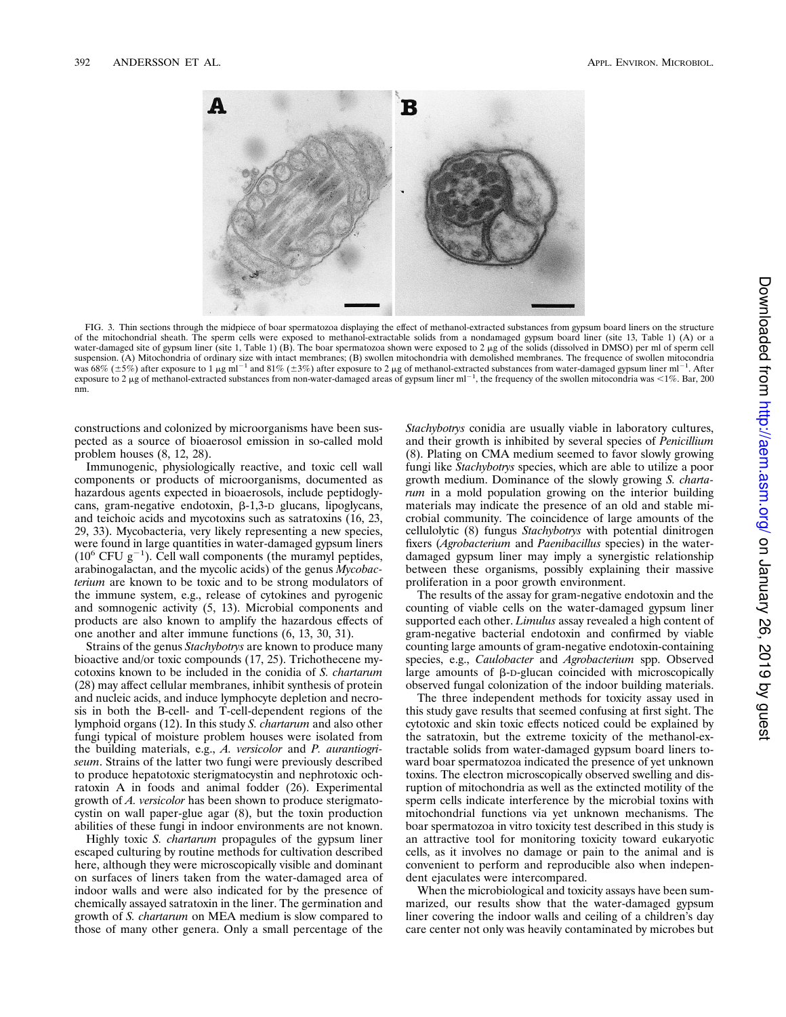

FIG. 3. Thin sections through the midpiece of boar spermatozoa displaying the effect of methanol-extracted substances from gypsum board liners on the structure of the mitochondrial sheath. The sperm cells were exposed to methanol-extractable solids from a nondamaged gypsum board liner (site 13, Table 1) (A) or a water-damaged site of gypsum liner (site 1, Table 1) (B). The boar spermatozoa shown were exposed to 2 µg of the solids (dissolved in DMSO) per ml of sperm cell suspension. (A) Mitochondria of ordinary size with intact membranes; (B) swollen mitochondria with demolished membranes. The frequence of swollen mitocondria was 68% ( $\pm$ 5%) after exposure to 1 µg ml<sup>-1</sup> and 81% ( $\pm$ 3%) after exposure to 2 µg of methanol-extracted substances from water-damaged gypsum liner ml<sup>-1</sup>. After exposure to 2  $\mu$ g of methanol-extracted substances from non-water-damaged areas of gypsum liner ml<sup>-1</sup>, the frequency of the swollen mitocondria was <1%. Bar, 200 nm.

constructions and colonized by microorganisms have been suspected as a source of bioaerosol emission in so-called mold problem houses (8, 12, 28).

Immunogenic, physiologically reactive, and toxic cell wall components or products of microorganisms, documented as hazardous agents expected in bioaerosols, include peptidoglycans, gram-negative endotoxin,  $\beta$ -1,3-D glucans, lipoglycans, and teichoic acids and mycotoxins such as satratoxins (16, 23, 29, 33). Mycobacteria, very likely representing a new species, were found in large quantities in water-damaged gypsum liners  $(10^6 \text{ CFU g}^{-1})$ . Cell wall components (the muramyl peptides, arabinogalactan, and the mycolic acids) of the genus *Mycobacterium* are known to be toxic and to be strong modulators of the immune system, e.g., release of cytokines and pyrogenic and somnogenic activity (5, 13). Microbial components and products are also known to amplify the hazardous effects of one another and alter immune functions (6, 13, 30, 31).

Strains of the genus *Stachybotrys* are known to produce many bioactive and/or toxic compounds (17, 25). Trichothecene mycotoxins known to be included in the conidia of *S. chartarum* (28) may affect cellular membranes, inhibit synthesis of protein and nucleic acids, and induce lymphocyte depletion and necrosis in both the B-cell- and T-cell-dependent regions of the lymphoid organs (12). In this study *S. chartarum* and also other fungi typical of moisture problem houses were isolated from the building materials, e.g., *A. versicolor* and *P. aurantiogriseum*. Strains of the latter two fungi were previously described to produce hepatotoxic sterigmatocystin and nephrotoxic ochratoxin A in foods and animal fodder (26). Experimental growth of *A. versicolor* has been shown to produce sterigmatocystin on wall paper-glue agar (8), but the toxin production abilities of these fungi in indoor environments are not known.

Highly toxic *S. chartarum* propagules of the gypsum liner escaped culturing by routine methods for cultivation described here, although they were microscopically visible and dominant on surfaces of liners taken from the water-damaged area of indoor walls and were also indicated for by the presence of chemically assayed satratoxin in the liner. The germination and growth of *S. chartarum* on MEA medium is slow compared to those of many other genera. Only a small percentage of the

*Stachybotrys* conidia are usually viable in laboratory cultures, and their growth is inhibited by several species of *Penicillium* (8). Plating on CMA medium seemed to favor slowly growing fungi like *Stachybotrys* species, which are able to utilize a poor growth medium. Dominance of the slowly growing *S. chartarum* in a mold population growing on the interior building materials may indicate the presence of an old and stable microbial community. The coincidence of large amounts of the cellulolytic (8) fungus *Stachybotrys* with potential dinitrogen fixers (*Agrobacterium* and *Paenibacillus* species) in the waterdamaged gypsum liner may imply a synergistic relationship between these organisms, possibly explaining their massive proliferation in a poor growth environment.

The results of the assay for gram-negative endotoxin and the counting of viable cells on the water-damaged gypsum liner supported each other. *Limulus* assay revealed a high content of gram-negative bacterial endotoxin and confirmed by viable counting large amounts of gram-negative endotoxin-containing species, e.g., *Caulobacter* and *Agrobacterium* spp. Observed large amounts of  $\beta$ -D-glucan coincided with microscopically observed fungal colonization of the indoor building materials.

The three independent methods for toxicity assay used in this study gave results that seemed confusing at first sight. The cytotoxic and skin toxic effects noticed could be explained by the satratoxin, but the extreme toxicity of the methanol-extractable solids from water-damaged gypsum board liners toward boar spermatozoa indicated the presence of yet unknown toxins. The electron microscopically observed swelling and disruption of mitochondria as well as the extincted motility of the sperm cells indicate interference by the microbial toxins with mitochondrial functions via yet unknown mechanisms. The boar spermatozoa in vitro toxicity test described in this study is an attractive tool for monitoring toxicity toward eukaryotic cells, as it involves no damage or pain to the animal and is convenient to perform and reproducible also when independent ejaculates were intercompared.

When the microbiological and toxicity assays have been summarized, our results show that the water-damaged gypsum liner covering the indoor walls and ceiling of a children's day care center not only was heavily contaminated by microbes but